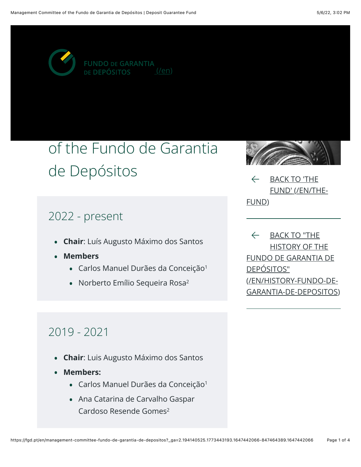

## of the Fundo de Garantia de Depósitos

### 2022 - present

- **Chair**: Luís Augusto Máximo dos Santos
- Members
	- Carlos Manuel Durães da Conceição<sup>1</sup>
	- . Norberto Emílio Sequeira Rosa<sup>2</sup>



 $\leftarrow$  BACK TO 'THE FUND' (/EN/THE-FUND)

← BACK TO "THE<br>HISTORY OF THE FUNDO DE GARANTIA DE DEPÓSITOS" (EN/HISTORY-FUNDO-DE-GARANTIA-DE-DEPOSITOS)

## $2019 - 2021$

- **Chair**: Luis Augusto Máximo dos Santos
- Members:
	- · Carlos Manuel Durães da Conceição<sup>1</sup>
	- . Ana Catarina de Carvalho Gaspar Cardoso Resende Gomes<sup>2</sup>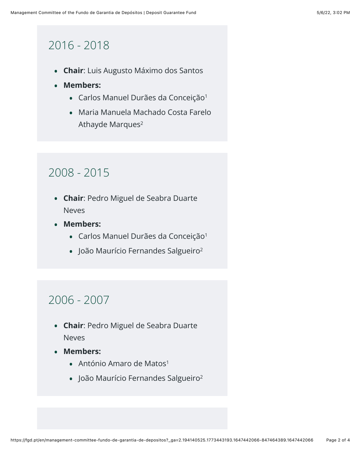## $2016 - 2018$

- **Chair**: Luis Augusto Máximo dos Santos
- Members:
	- · Carlos Manuel Durães da Conceição<sup>1</sup>
	- . Maria Manuela Machado Costa Farelo Athayde Marques<sup>2</sup>

## $2008 - 2015$

- **. Chair: Pedro Miguel de Seabra Duarte Neves**
- Members:
	- Carlos Manuel Durães da Conceição<sup>1</sup>
	- · João Maurício Fernandes Salgueiro<sup>2</sup>

## $2006 - 2007$

- **. Chair: Pedro Miguel de Seabra Duarte Neves**
- Members:
	- $\bullet$  António Amaro de Matos<sup>1</sup>
	- · João Maurício Fernandes Salgueiro<sup>2</sup>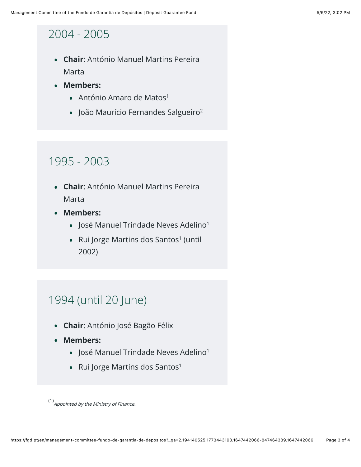#### 2004 - 2005

- **Chair:** António Manuel Martins Pereira Marta
- Members:
	- . António Amaro de Matos<sup>1</sup>
	- . João Maurício Fernandes Salgueiro<sup>2</sup>

#### 1995 - 2003

- **Chair**: António Manuel Martins Pereira Marta
- Members:
	- . José Manuel Trindade Neves Adelino<sup>1</sup>
	- Rui Jorge Martins dos Santos<sup>1</sup> (until  $2002)$

#### 1994 (until 20 June)

- **Chair**: António José Bagão Félix
- Members:
	- . José Manuel Trindade Neves Adelino<sup>1</sup>
	- $\bullet$  Rui Jorge Martins dos Santos<sup>1</sup>

 $(1)$  Appointed by the Ministry of Finance.